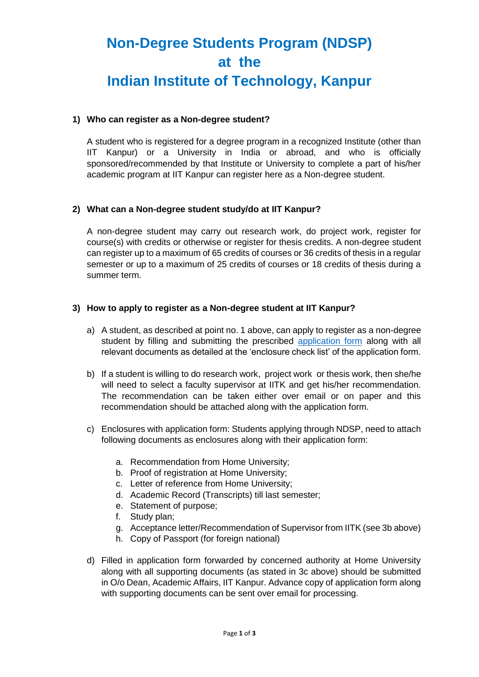# **Non-Degree Students Program (NDSP) at the Indian Institute of Technology, Kanpur**

### **1) Who can register as a Non-degree student?**

A student who is registered for a degree program in a recognized Institute (other than IIT Kanpur) or a University in India or abroad, and who is officially sponsored/recommended by that Institute or University to complete a part of his/her academic program at IIT Kanpur can register here as a Non-degree student.

### **2) What can a Non-degree student study/do at IIT Kanpur?**

A non-degree student may carry out research work, do project work, register for course(s) with credits or otherwise or register for thesis credits. A non-degree student can register up to a maximum of 65 credits of courses or 36 credits of thesis in a regular semester or up to a maximum of 25 credits of courses or 18 credits of thesis during a summer term.

### **3) How to apply to register as a Non-degree student at IIT Kanpur?**

- a) A student, as described at point no. 1 above, can apply to register as a non-degree student by filling and submitting the prescribed [application form](http://www.iitk.ac.in/doaa/data/Application_Form_for_Non_Degree_Student.pdf) along with all relevant documents as detailed at the 'enclosure check list' of the application form.
- b) If a student is willing to do research work, project work or thesis work, then she/he will need to select a faculty supervisor at IITK and get his/her recommendation. The recommendation can be taken either over email or on paper and this recommendation should be attached along with the application form.
- c) Enclosures with application form: Students applying through NDSP, need to attach following documents as enclosures along with their application form:
	- a. Recommendation from Home University;
	- b. Proof of registration at Home University;
	- c. Letter of reference from Home University;
	- d. Academic Record (Transcripts) till last semester;
	- e. Statement of purpose;
	- f. Study plan;
	- g. Acceptance letter/Recommendation of Supervisor from IITK (see 3b above)
	- h. Copy of Passport (for foreign national)
- d) Filled in application form forwarded by concerned authority at Home University along with all supporting documents (as stated in 3c above) should be submitted in O/o Dean, Academic Affairs, IIT Kanpur. Advance copy of application form along with supporting documents can be sent over email for processing.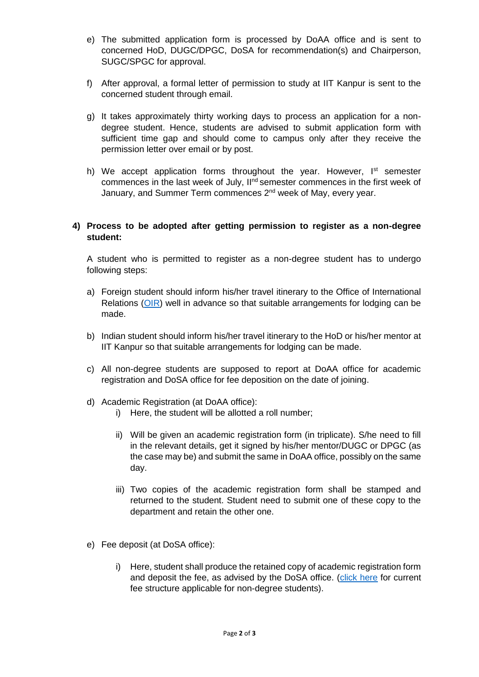- e) The submitted application form is processed by DoAA office and is sent to concerned HoD, DUGC/DPGC, DoSA for recommendation(s) and Chairperson, SUGC/SPGC for approval.
- f) After approval, a formal letter of permission to study at IIT Kanpur is sent to the concerned student through email.
- g) It takes approximately thirty working days to process an application for a nondegree student. Hence, students are advised to submit application form with sufficient time gap and should come to campus only after they receive the permission letter over email or by post.
- h) We accept application forms throughout the year. However,  $I<sup>st</sup>$  semester commences in the last week of July, Il<sup>nd</sup> semester commences in the first week of January, and Summer Term commences 2<sup>nd</sup> week of May, every year.

## **4) Process to be adopted after getting permission to register as a non-degree student:**

A student who is permitted to register as a non-degree student has to undergo following steps:

- a) Foreign student should inform his/her travel itinerary to the Office of International Relations [\(OIR\)](http://www.iitk.ac.in/oir/) well in advance so that suitable arrangements for lodging can be made.
- b) Indian student should inform his/her travel itinerary to the HoD or his/her mentor at IIT Kanpur so that suitable arrangements for lodging can be made.
- c) All non-degree students are supposed to report at DoAA office for academic registration and DoSA office for fee deposition on the date of joining.
- d) Academic Registration (at DoAA office):
	- i) Here, the student will be allotted a roll number;
	- ii) Will be given an academic registration form (in triplicate). S/he need to fill in the relevant details, get it signed by his/her mentor/DUGC or DPGC (as the case may be) and submit the same in DoAA office, possibly on the same day.
	- iii) Two copies of the academic registration form shall be stamped and returned to the student. Student need to submit one of these copy to the department and retain the other one.
- e) Fee deposit (at DoSA office):
	- i) Here, student shall produce the retained copy of academic registration form and deposit the fee, as advised by the DoSA office. [\(click here](http://www.iitk.ac.in/doaa/data/Fee-Structure-for-Non-degree-students.pdf) for current fee structure applicable for non-degree students).